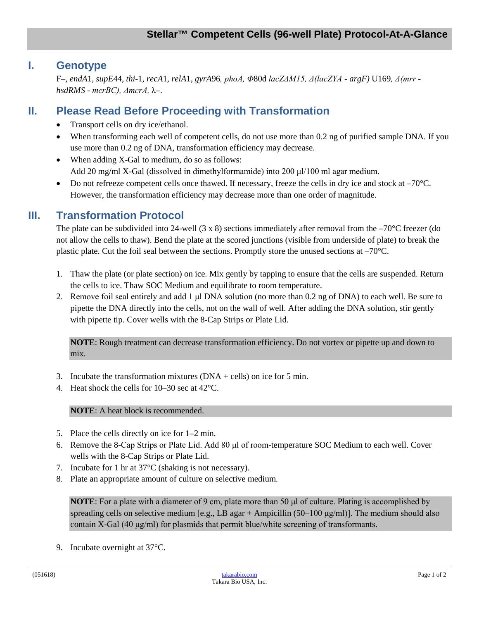#### **I. Genotype**

F–*, endA*1*, supE*44*, thi*-1*, recA*1*, relA*1*, gyrA*96*, phoA, Φ*80d *lacZΔM15, Δ(lacZYA - argF)* U169*, Δ(mrr hsdRMS - mcrBC), ΔmcrA,* λ–.

# **II. Please Read Before Proceeding with Transformation**

- Transport cells on dry ice/ethanol.
- When transforming each well of competent cells, do not use more than 0.2 ng of purified sample DNA. If you use more than 0.2 ng of DNA, transformation efficiency may decrease.
- When adding X-Gal to medium, do so as follows: Add 20 mg/ml X-Gal (dissolved in dimethylformamide) into 200 μl/100 ml agar medium.
- Do not refreeze competent cells once thawed. If necessary, freeze the cells in dry ice and stock at  $-70^{\circ}$ C. However, the transformation efficiency may decrease more than one order of magnitude.

## **III. Transformation Protocol**

The plate can be subdivided into 24-well (3 x 8) sections immediately after removal from the –70°C freezer (do not allow the cells to thaw). Bend the plate at the scored junctions (visible from underside of plate) to break the plastic plate. Cut the foil seal between the sections. Promptly store the unused sections at –70°C.

- 1. Thaw the plate (or plate section) on ice. Mix gently by tapping to ensure that the cells are suspended. Return the cells to ice. Thaw SOC Medium and equilibrate to room temperature.
- 2. Remove foil seal entirely and add 1 μl DNA solution (no more than 0.2 ng of DNA) to each well. Be sure to pipette the DNA directly into the cells, not on the wall of well. After adding the DNA solution, stir gently with pipette tip. Cover wells with the 8-Cap Strips or Plate Lid.

**NOTE**: Rough treatment can decrease transformation efficiency. Do not vortex or pipette up and down to mix.

- 3. Incubate the transformation mixtures  $(DNA + cells)$  on ice for 5 min.
- 4. Heat shock the cells for 10–30 sec at 42°C.

**NOTE:** A heat block is recommended.

- 5. Place the cells directly on ice for 1–2 min.
- 6. Remove the 8-Cap Strips or Plate Lid. Add 80 μl of room-temperature SOC Medium to each well. Cover wells with the 8-Cap Strips or Plate Lid.
- 7. Incubate for 1 hr at 37°C (shaking is not necessary).
- 8. Plate an appropriate amount of culture on selective medium.

**NOTE**: For a plate with a diameter of 9 cm, plate more than 50 μl of culture. Plating is accomplished by spreading cells on selective medium [e.g., LB agar + Ampicillin (50–100  $\mu$ g/ml)]. The medium should also contain X-Gal (40  $\mu$ g/ml) for plasmids that permit blue/white screening of transformants.

9. Incubate overnight at 37°C.